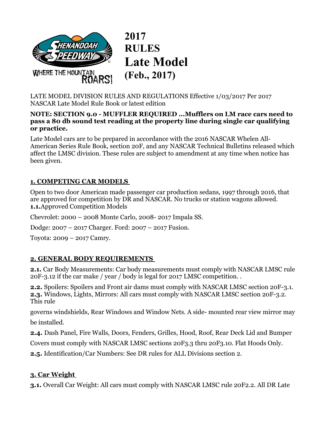

**2017 RULES Late Model (Feb., 2017)** 

LATE MODEL DIVISION RULES AND REGULATIONS Effective 1/03/2017 Per 2017 NASCAR Late Model Rule Book or latest edition

#### **NOTE: SECTION 9.0 - MUFFLER REQUIRED ...Mufflers on LM race cars need to pass a 80 db sound test reading at the property line during single car qualifying or practice.**

Late Model cars are to be prepared in accordance with the 2016 NASCAR Whelen All-American Series Rule Book, section 20F, and any NASCAR Technical Bulletins released which affect the LMSC division. These rules are subject to amendment at any time when notice has been given.

## **1. COMPETING CAR MODELS**

Open to two door American made passenger car production sedans, 1997 through 2016, that are approved for competition by DR and NASCAR. No trucks or station wagons allowed. **1.1.**Approved Competition Models

Chevrolet: 2000 – 2008 Monte Carlo, 2008- 2017 Impala SS.

Dodge: 2007 – 2017 Charger. Ford: 2007 – 2017 Fusion.

Toyota: 2009 – 2017 Camry.

## **2. GENERAL BODY REQUIREMENTS**

**2.1.** Car Body Measurements: Car body measurements must comply with NASCAR LMSC rule 20F-3.12 if the car make / year / body is legal for 2017 LMSC competition. .

**2.2.** Spoilers: Spoilers and Front air dams must comply with NASCAR LMSC section 20F-3.1. **2.3.** Windows, Lights, Mirrors: All cars must comply with NASCAR LMSC section 20F-3.2. This rule

governs windshields, Rear Windows and Window Nets. A side- mounted rear view mirror may be installed.

**2.4.** Dash Panel, Fire Walls, Doors, Fenders, Grilles, Hood, Roof, Rear Deck Lid and Bumper

Covers must comply with NASCAR LMSC sections 20F3.3 thru 20F3.10. Flat Hoods Only.

**2.5.** Identification/Car Numbers: See DR rules for ALL Divisions section 2.

#### **3. Car Weight**

**3.1.** Overall Car Weight: All cars must comply with NASCAR LMSC rule 20F2.2. All DR Late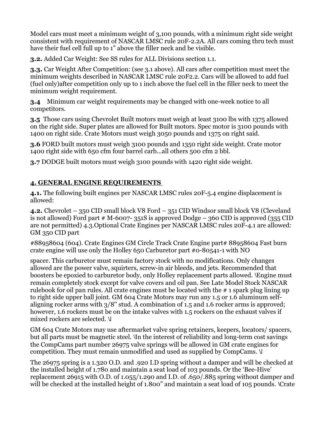Model cars must meet a minimum weight of 3,100 pounds, with a minimum right side weight consistent with requirement of NASCAR LMSC rule 20F-2.2A. All cars coming thru tech must have their fuel cell full up to 1" above the filler neck and be visible.

**3.2.** Added Car Weight: See SS rules for ALL Divisions section 1.1.

**3.3.** Car Weight After Competition: (see 3.1 above). All cars after competition must meet the minimum weights described in NASCAR LMSC rule 20F2.2. Cars will be allowed to add fuel (fuel only)after competition only up to 1 inch above the fuel cell in the filler neck to meet the minimum weight requirement.

**3.4** Minimum car weight requirements may be changed with one-week notice to all competitors.

**3.5** Those cars using Chevrolet Built motors must weigh at least 3100 lbs with 1375 allowed on the right side. Super plates are allowed for Built motors. Spec motor is 3100 pounds with 1400 on right side. Crate Motors must weigh 3050 pounds and 1375 on right said.

**3.6** FORD built motors must weigh 3100 pounds and 1350 right side weight. Crate motor 1400 right side with 650 cfm four barrel carb...all others 500 cfm 2 bbl.

**3.7** DODGE built motors must weigh 3100 pounds with 1420 right side weight.

## **4. GENERAL ENGINE REQUIREMENTS**

**4.1.** The following built engines per NASCAR LMSC rules 20F-5.4 engine displacement is allowed:

**4.2.** Chevrolet – 350 CID small block V8 Ford – 351 CID Windsor small block V8 (Cleveland is not allowed) Ford part  $# M$ -6007- 351S is approved Dodge – 360 CID is approved (355 CID are not permitted) 4.3.Optional Crate Engines per NASCAR LMSC rules 20F-4.1 are allowed: GM 350 CID part

#88958604 (604). Crate Engines GM Circle Track Crate Engine part# 88958604 Fast burn crate engine will use only the Holley 650 Carburetor part #0-80541-1 with NO

spacer. This carburetor must remain factory stock with no modifications. Only changes allowed are the power valve, squirters, screw-in air bleeds, and jets. Recommended that boosters be epoxied to carburetor body, only Holley replacement parts allowed. Engine must remain completely stock except for valve covers and oil pan. See Late Model Stock NASCAR rulebook for oil pan rules. All crate engines must be located with the # 1 spark plug lining up to right side upper ball joint. GM 604 Crate Motors may run any 1.5 or 1.6 aluminum selfaligning rocker arms with 3/8'' stud. A combination of 1.5 and 1.6 rocker arms is approved; however, 1.6 rockers must be on the intake valves with 1.5 rockers on the exhaust valves if mixed rockers are selected.

GM 604 Crate Motors may use aftermarket valve spring retainers, keepers, locators/ spacers, but all parts must be magnetic steel. In the interest of reliability and long-term cost savings the CompCams part number 26975 valve springs will be allowed in GM crate engines for competition. They must remain unmodified and used as supplied by CompCams.

The 26975 spring is a 1.320 O.D. and .920 I.D spring without a damper and will be checked at the installed height of 1.780 and maintain a seat load of 103 pounds. Or the 'Bee-Hive' replacement 26915 with O.D. of 1.055/1.290 and I.D. of .650/.885 spring without damper and will be checked at the installed height of 1.800" and maintain a seat load of 105 pounds. \Crate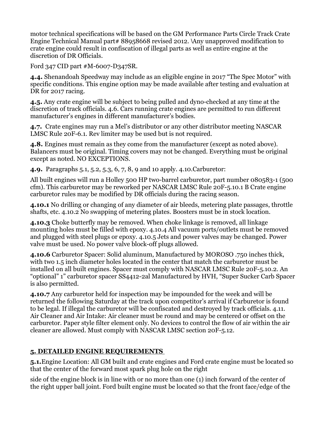motor technical specifications will be based on the GM Performance Parts Circle Track Crate Engine Technical Manual part# 88958668 revised 2012. Any unapproved modification to crate engine could result in confiscation of illegal parts as well as entire engine at the discretion of DR Officials.

Ford 347 CID part #M-6007-D347SR.

**4.4.** Shenandoah Speedway may include as an eligible engine in 2017 "The Spec Motor" with specific conditions. This engine option may be made available after testing and evaluation at DR for 2017 racing.

**4.5.** Any crate engine will be subject to being pulled and dyno-checked at any time at the discretion of track officials. 4.6. Cars running crate engines are permitted to run different manufacturer's engines in different manufacturer's bodies.

**4.7.** Crate engines may run a Mel's distributor or any other distributor meeting NASCAR LMSC Rule 20F-6.1. Rev limiter may be used but is not required.

**4.8.** Engines must remain as they come from the manufacturer (except as noted above). Balancers must be original. Timing covers may not be changed. Everything must be original except as noted. NO EXCEPTIONS.

**4.9.** Paragraphs 5.1, 5.2, 5.3, 6, 7, 8, 9 and 10 apply. 4.10.Carburetor:

All built engines will run a Holley 500 HP two-barrel carburetor, part number 080583-1 (500 cfm). This carburetor may be reworked per NASCAR LMSC Rule 20F-5.10.1 B Crate engine carburetor rules may be modified by DR officials during the racing season.

**4.10.1** No drilling or changing of any diameter of air bleeds, metering plate passages, throttle shafts, etc. 4.10.2 No swapping of metering plates. Boosters must be in stock location.

**4.10.3** Choke butterfly may be removed. When choke linkage is removed, all linkage mounting holes must be filled with epoxy. 4.10.4 All vacuum ports/outlets must be removed and plugged with steel plugs or epoxy. 4.10.5 Jets and power valves may be changed. Power valve must be used. No power valve block-off plugs allowed.

**4.10.6** Carburetor Spacer: Solid aluminum, Manufactured by MOROSO .750 inches thick, with two 1.5 inch diameter holes located in the center that match the carburetor must be installed on all built engines. Spacer must comply with NASCAR LMSC Rule 20F-5.10.2. An "optional" 1" carburetor spacer SS4412-2al Manufactured by HVH, "Super Sucker Carb Spacer is also permitted.

**4.10.7** Any carburetor held for inspection may be impounded for the week and will be returned the following Saturday at the track upon competitor's arrival if Carburetor is found to be legal. If illegal the carburetor will be confiscated and destroyed by track officials. 4.11. Air Cleaner and Air Intake: Air cleaner must be round and may be centered or offset on the carburetor. Paper style filter element only. No devices to control the flow of air within the air cleaner are allowed. Must comply with NASCAR LMSC section 20F-5.12.

## **5. DETAILED ENGINE REQUIREMENTS**

**5.1.**Engine Location: All GM built and crate engines and Ford crate engine must be located so that the center of the forward most spark plug hole on the right

side of the engine block is in line with or no more than one (1) inch forward of the center of the right upper ball joint. Ford built engine must be located so that the front face/edge of the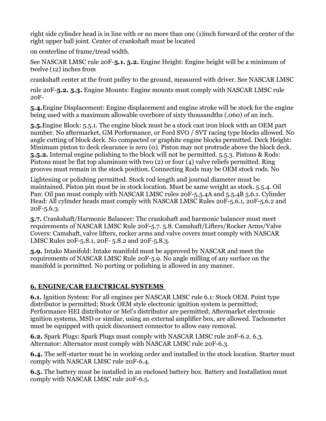right side cylinder head is in line with or no more than one (1)inch forward of the center of the right upper ball joint. Center of crankshaft must be located

on centerline of frame/tread width.

See NASCAR LMSC rule 20F-**5.1. 5.2.** Engine Height: Engine height will be a minimum of twelve (12) inches from

crankshaft center at the front pulley to the ground, measured with driver. See NASCAR LMSC

rule 20F-**5.2. 5.3.** Engine Mounts: Engine mounts must comply with NASCAR LMSC rule 20F-

**5.4.**Engine Displacement: Engine displacement and engine stroke will be stock for the engine being used with a maximum allowable overbore of sixty thousandths (.060) of an inch.

**5.5.**Engine Block: 5.5.1. The engine block must be a stock cast iron block with an OEM part number. No aftermarket, GM Performance, or Ford SVO / SVT racing type blocks allowed. No angle cutting of block deck. No compacted or graphite engine blocks permitted. Deck Height: Minimum piston to deck clearance is zero (0). Piston may not protrude above the block deck. **5.5.2.** Internal engine polishing to the block will not be permitted. 5.5.3. Pistons & Rods: Pistons must be flat top aluminum with two (2) or four (4) valve reliefs permitted. Ring grooves must remain in the stock position. Connecting Rods may be OEM stock rods. No

Lightening or polishing permitted. Stock rod length and journal diameter must be maintained. Piston pin must be in stock location. Must be same weight as stock. 5.5.4. Oil Pan: Oil pan must comply with NASCAR LMSC rules 20F-5.5.4A and 5.5.4B 5.6.1. Cylinder Head: All cylinder heads must comply with NASCAR LMSC Rules 20F-5.6.1, 20F-5.6.2 and 20F-5.6.3.

**5.7.** Crankshaft/Harmonic Balancer: The crankshaft and harmonic balancer must meet requirements of NASCAR LMSC Rule 20F-5.7. 5.8. Camshaft/Lifters/Rocker Arms/Valve Covers: Camshaft, valve lifters, rocker arms and valve covers must comply with NASCAR LMSC Rules 20F-5.8.1, 20F- 5.8.2 and 20F-5.8.3.

**5.9.** Intake Manifold: Intake manifold must be approved by NASCAR and meet the requirements of NASCAR LMSC Rule 20F-5.9. No angle milling of any surface on the manifold is permitted. No porting or polishing is allowed in any manner.

# **6. ENGINE/CAR ELECTRICAL SYSTEMS**

**6.1.** Ignition System: For all engines per NASCAR LMSC rule 6.1: Stock OEM. Point type distributor is permitted; Stock OEM style electronic ignition system is permitted; Performance HEI distributor or Mel's distributor are permitted; Aftermarket electronic ignition systems, MSD or similar, using an external amplifier box, are allowed. Tachometer must be equipped with quick disconnect connector to allow easy removal.

**6.2.** Spark Plugs: Spark Plugs must comply with NASCAR LMSC rule 20F-6.2. 6.3. Alternator: Alternator must comply with NASCAR LMSC rule 20F-6.3.

**6.4.** The self-starter must be in working order and installed in the stock location. Starter must comply with NASCAR LMSC rule 20F-6.4.

**6.5.** The battery must be installed in an enclosed battery box. Battery and Installation must comply with NASCAR LMSC rule 20F-6.5.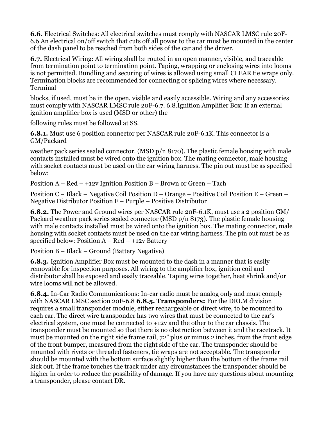**6.6.** Electrical Switches: All electrical switches must comply with NASCAR LMSC rule 20F-6.6 An electrical on/off switch that cuts off all power to the car must be mounted in the center of the dash panel to be reached from both sides of the car and the driver.

**6.7.** Electrical Wiring: All wiring shall be routed in an open manner, visible, and traceable from termination point to termination point. Taping, wrapping or enclosing wires into looms is not permitted. Bundling and securing of wires is allowed using small CLEAR tie wraps only. Termination blocks are recommended for connecting or splicing wires where necessary. Terminal

blocks, if used, must be in the open, visible and easily accessible. Wiring and any accessories must comply with NASCAR LMSC rule 20F-6.7. 6.8.Ignition Amplifier Box: If an external ignition amplifier box is used (MSD or other) the

following rules must be followed at SS.

**6.8.1.** Must use 6 position connector per NASCAR rule 20F-6.1K. This connector is a GM/Packard

weather pack series sealed connector. (MSD p/n 8170). The plastic female housing with male contacts installed must be wired onto the ignition box. The mating connector, male housing with socket contacts must be used on the car wiring harness. The pin out must be as specified below:

Position  $A - Red - +12v$  Ignition Position  $B - Brown$  or Green – Tach

Position C – Black – Negative Coil Position D – Orange – Positive Coil Position E – Green – Negative Distributor Position F – Purple – Positive Distributor

**6.8.2.** The Power and Ground wires per NASCAR rule 20F-6.1K, must use a 2 position GM/ Packard weather pack series sealed connector (MSD  $p/n 8173$ ). The plastic female housing with male contacts installed must be wired onto the ignition box. The mating connector, male housing with socket contacts must be used on the car wiring harness. The pin out must be as specified below: Position  $A - Red - +12v$  Battery

Position B – Black – Ground (Battery Negative)

**6.8.3.** Ignition Amplifier Box must be mounted to the dash in a manner that is easily removable for inspection purposes. All wiring to the amplifier box, ignition coil and distributor shall be exposed and easily traceable. Taping wires together, heat shrink and/or wire looms will not be allowed.

**6.8.4.** In-Car Radio Communications: In-car radio must be analog only and must comply with NASCAR LMSC section 20F-6.8 **6.8.5. Transponders:** For the DRLM division requires a small transponder module, either rechargeable or direct wire, to be mounted to each car. The direct wire transponder has two wires that must be connected to the car's electrical system, one must be connected to +12v and the other to the car chassis. The transponder must be mounted so that there is no obstruction between it and the racetrack. It must be mounted on the right side frame rail, 72" plus or minus 2 inches, from the front edge of the front bumper, measured from the right side of the car. The transponder should be mounted with rivets or threaded fasteners, tie wraps are not acceptable. The transponder should be mounted with the bottom surface slightly higher than the bottom of the frame rail kick out. If the frame touches the track under any circumstances the transponder should be higher in order to reduce the possibility of damage. If you have any questions about mounting a transponder, please contact DR.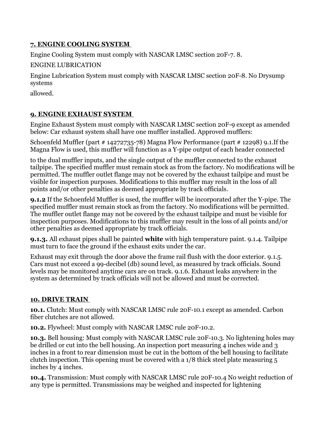## **7. ENGINE COOLING SYSTEM**

Engine Cooling System must comply with NASCAR LMSC section 20F-7. 8.

ENGINE LUBRICATION

Engine Lubrication System must comply with NASCAR LMSC section 20F-8. No Drysump systems

allowed.

# **9. ENGINE EXHAUST SYSTEM**

Engine Exhaust System must comply with NASCAR LMSC section 20F-9 except as amended below: Car exhaust system shall have one muffler installed. Approved mufflers:

Schoenfeld Muffler (part # 14272735-78) Magna Flow Performance (part # 12298) 9.1.If the Magna Flow is used, this muffler will function as a Y-pipe output of each header connected

to the dual muffler inputs, and the single output of the muffler connected to the exhaust tailpipe. The specified muffler must remain stock as from the factory. No modifications will be permitted. The muffler outlet flange may not be covered by the exhaust tailpipe and must be visible for inspection purposes. Modifications to this muffler may result in the loss of all points and/or other penalties as deemed appropriate by track officials.

**9.1.2** If the Schoenfeld Muffler is used, the muffler will be incorporated after the Y-pipe. The specified muffler must remain stock as from the factory. No modifications will be permitted. The muffler outlet flange may not be covered by the exhaust tailpipe and must be visible for inspection purposes. Modifications to this muffler may result in the loss of all points and/or other penalties as deemed appropriate by track officials.

**9.1.3.** All exhaust pipes shall be painted **white** with high temperature paint. 9.1.4. Tailpipe must turn to face the ground if the exhaust exits under the car.

Exhaust may exit through the door above the frame rail flush with the door exterior. 9.1.5. Cars must not exceed a 99-decibel (db) sound level, as measured by track officials. Sound levels may be monitored anytime cars are on track. 9.1.6. Exhaust leaks anywhere in the system as determined by track officials will not be allowed and must be corrected.

# **10. DRIVE TRAIN**

**10.1.** Clutch: Must comply with NASCAR LMSC rule 20F-10.1 except as amended. Carbon fiber clutches are not allowed.

**10.2.** Flywheel: Must comply with NASCAR LMSC rule 20F-10.2.

**10.3.** Bell housing: Must comply with NASCAR LMSC rule 20F-10.3. No lightening holes may be drilled or cut into the bell housing. An inspection port measuring 4 inches wide and 3 inches in a front to rear dimension must be cut in the bottom of the bell housing to facilitate clutch inspection. This opening must be covered with a 1/8 thick steel plate measuring 5 inches by 4 inches.

**10.4.** Transmission: Must comply with NASCAR LMSC rule 20F-10.4 No weight reduction of any type is permitted. Transmissions may be weighed and inspected for lightening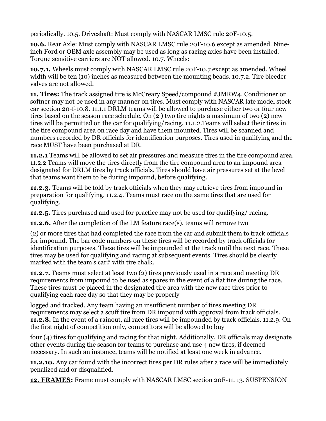periodically. 10.5. Driveshaft: Must comply with NASCAR LMSC rule 20F-10.5.

**10.6.** Rear Axle: Must comply with NASCAR LMSC rule 20F-10.6 except as amended. Nineinch Ford or OEM axle assembly may be used as long as racing axles have been installed. Torque sensitive carriers are NOT allowed. 10.7. Wheels:

**10.7.1.** Wheels must comply with NASCAR LMSC rule 20F-10.7 except as amended. Wheel width will be ten (10) inches as measured between the mounting beads. 10.7.2. Tire bleeder valves are not allowed.

**11. Tires:** The track assigned tire is McCreary Speed/compound #JMRW4. Conditioner or softner may not be used in any manner on tires. Must comply with NASCAR late model stock car section 20-f-10.8. 11.1.1 DRLM teams will be allowed to purchase either two or four new tires based on the season race schedule. On (2 ) two tire nights a maximum of two (2) new tires will be permitted on the car for qualifying/racing. 11.1.2.Teams will select their tires in the tire compound area on race day and have them mounted. Tires will be scanned and numbers recorded by DR officials for identification purposes. Tires used in qualifying and the race MUST have been purchased at DR.

**11.2.1** Teams will be allowed to set air pressures and measure tires in the tire compound area. 11.2.2 Teams will move the tires directly from the tire compound area to an impound area designated for DRLM tires by track officials. Tires should have air pressures set at the level that teams want them to be during impound, before qualifying.

**11.2.3.** Teams will be told by track officials when they may retrieve tires from impound in preparation for qualifying. 11.2.4. Teams must race on the same tires that are used for qualifying.

**11.2.5.** Tires purchased and used for practice may not be used for qualifying/ racing.

**11.2.6.** After the completion of the LM feature race(s), teams will remove two

(2) or more tires that had completed the race from the car and submit them to track officials for impound. The bar code numbers on these tires will be recorded by track officials for identification purposes. These tires will be impounded at the track until the next race. These tires may be used for qualifying and racing at subsequent events. Tires should be clearly marked with the team's car# with tire chalk.

**11.2.7.** Teams must select at least two (2) tires previously used in a race and meeting DR requirements from impound to be used as spares in the event of a flat tire during the race. These tires must be placed in the designated tire area with the new race tires prior to qualifying each race day so that they may be properly

logged and tracked. Any team having an insufficient number of tires meeting DR requirements may select a scuff tire from DR impound with approval from track officials. **11.2.8.** In the event of a rainout, all race tires will be impounded by track officials. 11.2.9. On the first night of competition only, competitors will be allowed to buy

four (4) tires for qualifying and racing for that night. Additionally, DR officials may designate other events during the season for teams to purchase and use 4 new tires, if deemed necessary. In such an instance, teams will be notified at least one week in advance.

**11.2.10.** Any car found with the incorrect tires per DR rules after a race will be immediately penalized and or disqualified.

**12. FRAMES:** Frame must comply with NASCAR LMSC section 20F-11. 13. SUSPENSION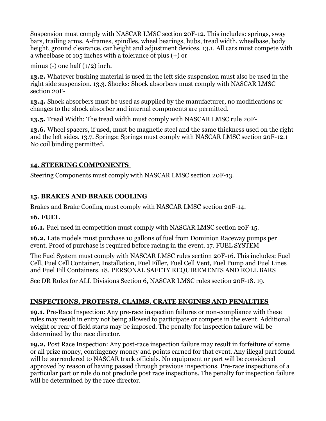Suspension must comply with NASCAR LMSC section 20F-12. This includes: springs, sway bars, trailing arms, A-frames, spindles, wheel bearings, hubs, tread width, wheelbase, body height, ground clearance, car height and adjustment devices. 13.1. All cars must compete with a wheelbase of 105 inches with a tolerance of plus (+) or

minus (-) one half  $(1/2)$  inch.

**13.2.** Whatever bushing material is used in the left side suspension must also be used in the right side suspension. 13.3. Shocks: Shock absorbers must comply with NASCAR LMSC section 20F-

**13.4.** Shock absorbers must be used as supplied by the manufacturer, no modifications or changes to the shock absorber and internal components are permitted.

**13.5.** Tread Width: The tread width must comply with NASCAR LMSC rule 20F-

**13.6.** Wheel spacers, if used, must be magnetic steel and the same thickness used on the right and the left sides. 13.7. Springs: Springs must comply with NASCAR LMSC section 20F-12.1 No coil binding permitted.

### **14. STEERING COMPONENTS**

Steering Components must comply with NASCAR LMSC section 20F-13.

## **15. BRAKES AND BRAKE COOLING**

Brakes and Brake Cooling must comply with NASCAR LMSC section 20F-14.

#### **16. FUEL**

**16.1.** Fuel used in competition must comply with NASCAR LMSC section 20F-15.

**16.2.** Late models must purchase 10 gallons of fuel from Dominion Raceway pumps per event. Proof of purchase is required before racing in the event. 17. FUEL SYSTEM

The Fuel System must comply with NASCAR LMSC rules section 20F-16. This includes: Fuel Cell, Fuel Cell Container, Installation, Fuel Filler, Fuel Cell Vent, Fuel Pump and Fuel Lines and Fuel Fill Containers. 18. PERSONAL SAFETY REQUIREMENTS AND ROLL BARS

See DR Rules for ALL Divisions Section 6, NASCAR LMSC rules section 20F-18. 19.

# **INSPECTIONS, PROTESTS, CLAIMS, CRATE ENGINES AND PENALTIES**

**19.1.** Pre-Race Inspection: Any pre-race inspection failures or non-compliance with these rules may result in entry not being allowed to participate or compete in the event. Additional weight or rear of field starts may be imposed. The penalty for inspection failure will be determined by the race director.

**19.2.** Post Race Inspection: Any post-race inspection failure may result in forfeiture of some or all prize money, contingency money and points earned for that event. Any illegal part found will be surrendered to NASCAR track officials. No equipment or part will be considered approved by reason of having passed through previous inspections. Pre-race inspections of a particular part or rule do not preclude post race inspections. The penalty for inspection failure will be determined by the race director.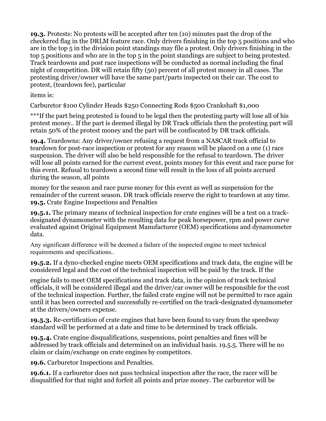**19.3.** Protests: No protests will be accepted after ten (10) minutes past the drop of the checkered flag in the DRLM feature race. Only drivers finishing in the top 5 positions and who are in the top 5 in the division point standings may file a protest. Only drivers finishing in the top 5 positions and who are in the top 5 in the point standings are subject to being protested. Track teardowns and post race inspections will be conducted as normal including the final night of competition. DR will retain fifty (50) percent of all protest money in all cases. The protesting driver/owner will have the same part/parts inspected on their car. The cost to protest, (teardown fee), particular

items is:

Carburetor \$100 Cylinder Heads \$250 Connecting Rods \$500 Crankshaft \$1,000

\*\*\*If the part being protested is found to be legal then the protesting party will lose all of his protest money.. If the part is deemed illegal by DR Track officials then the protesting part will retain 50% of the protest money and the part will be confiscated by DR track officials.

**19.4.** Teardowns: Any driver/owner refusing a request from a NASCAR track official to teardown for post-race inspection or protest for any reason will be placed on a one (1) race suspension. The driver will also be held responsible for the refusal to teardown. The driver will lose all points earned for the current event, points money for this event and race purse for this event. Refusal to teardown a second time will result in the loss of all points accrued during the season, all points

money for the season and race purse money for this event as well as suspension for the remainder of the current season. DR track officials reserve the right to teardown at any time. **19.5.** Crate Engine Inspections and Penalties

**19.5.1.** The primary means of technical inspection for crate engines will be a test on a trackdesignated dynamometer with the resulting data for peak horsepower, rpm and power curve evaluated against Original Equipment Manufacturer (OEM) specifications and dynamometer data.

Any significant difference will be deemed a failure of the inspected engine to meet technical requirements and specifications..

**19.5.2.** If a dyno-checked engine meets OEM specifications and track data, the engine will be considered legal and the cost of the technical inspection will be paid by the track. If the

engine fails to meet OEM specifications and track data, in the opinion of track technical officials, it will be considered illegal and the driver/car owner will be responsible for the cost of the technical inspection. Further, the failed crate engine will not be permitted to race again until it has been corrected and successfully re-certified on the track-designated dynamometer at the drivers/owners expense.

**19.5.3.** Re-certification of crate engines that have been found to vary from the speedway standard will be performed at a date and time to be determined by track officials.

**19.5.4.** Crate engine disqualifications, suspensions, point penalties and fines will be addressed by track officials and determined on an individual basis. 19.5.5. There will be no claim or claim/exchange on crate engines by competitors.

**19.6.** Carburetor Inspections and Penalties.

**19.6.1.** If a carburetor does not pass technical inspection after the race, the racer will be disqualified for that night and forfeit all points and prize money. The carburetor will be